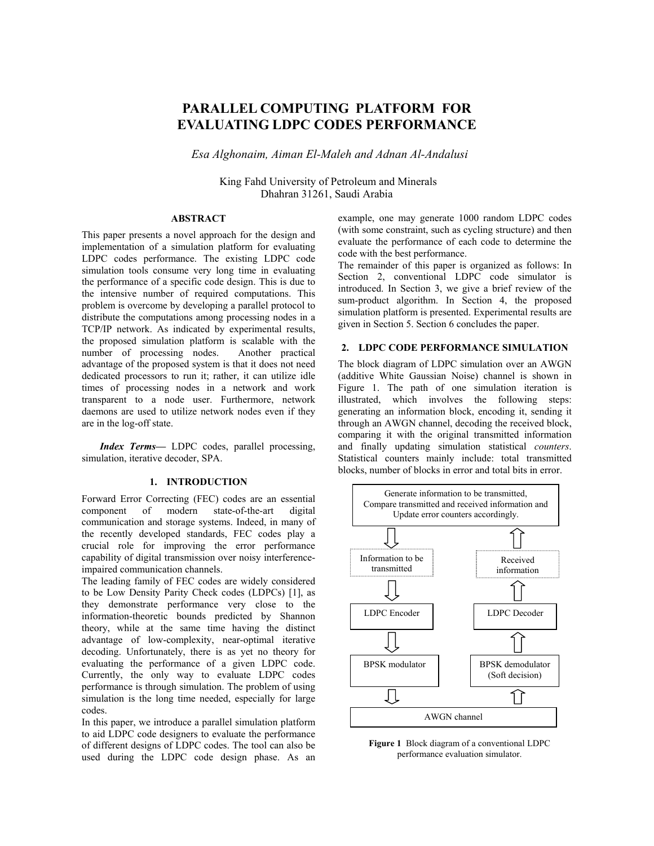# **PARALLEL COMPUTING PLATFORM FOR EVALUATING LDPC CODES PERFORMANCE**

 *Esa Alghonaim, Aiman El-Maleh and Adnan Al-Andalusi* 

King Fahd University of Petroleum and Minerals Dhahran 31261, Saudi Arabia

## **ABSTRACT**

This paper presents a novel approach for the design and implementation of a simulation platform for evaluating LDPC codes performance. The existing LDPC code simulation tools consume very long time in evaluating the performance of a specific code design. This is due to the intensive number of required computations. This problem is overcome by developing a parallel protocol to distribute the computations among processing nodes in a TCP/IP network. As indicated by experimental results, the proposed simulation platform is scalable with the number of processing nodes. Another practical advantage of the proposed system is that it does not need dedicated processors to run it; rather, it can utilize idle times of processing nodes in a network and work transparent to a node user. Furthermore, network daemons are used to utilize network nodes even if they are in the log-off state.

*Index Terms—* LDPC codes, parallel processing, simulation, iterative decoder, SPA.

## **1. INTRODUCTION**

Forward Error Correcting (FEC) codes are an essential<br>component of modern state-of-the-art digital component of modern state-of-the-art digital communication and storage systems. Indeed, in many of the recently developed standards, FEC codes play a crucial role for improving the error performance capability of digital transmission over noisy interferenceimpaired communication channels.

The leading family of FEC codes are widely considered to be Low Density Parity Check codes (LDPCs) [1], as they demonstrate performance very close to the information-theoretic bounds predicted by Shannon theory, while at the same time having the distinct advantage of low-complexity, near-optimal iterative decoding. Unfortunately, there is as yet no theory for evaluating the performance of a given LDPC code. Currently, the only way to evaluate LDPC codes performance is through simulation. The problem of using simulation is the long time needed, especially for large codes.

In this paper, we introduce a parallel simulation platform to aid LDPC code designers to evaluate the performance of different designs of LDPC codes. The tool can also be used during the LDPC code design phase. As an

example, one may generate 1000 random LDPC codes (with some constraint, such as cycling structure) and then evaluate the performance of each code to determine the code with the best performance.

The remainder of this paper is organized as follows: In Section 2, conventional LDPC code simulator is introduced. In Section 3, we give a brief review of the sum-product algorithm. In Section 4, the proposed simulation platform is presented. Experimental results are given in Section 5. Section 6 concludes the paper.

## **2. LDPC CODE PERFORMANCE SIMULATION**

The block diagram of LDPC simulation over an AWGN (additive White Gaussian Noise) channel is shown in Figure 1. The path of one simulation iteration is illustrated, which involves the following steps: generating an information block, encoding it, sending it through an AWGN channel, decoding the received block, comparing it with the original transmitted information and finally updating simulation statistical *counters*. Statistical counters mainly include: total transmitted blocks, number of blocks in error and total bits in error.



**Figure 1** Block diagram of a conventional LDPC performance evaluation simulator.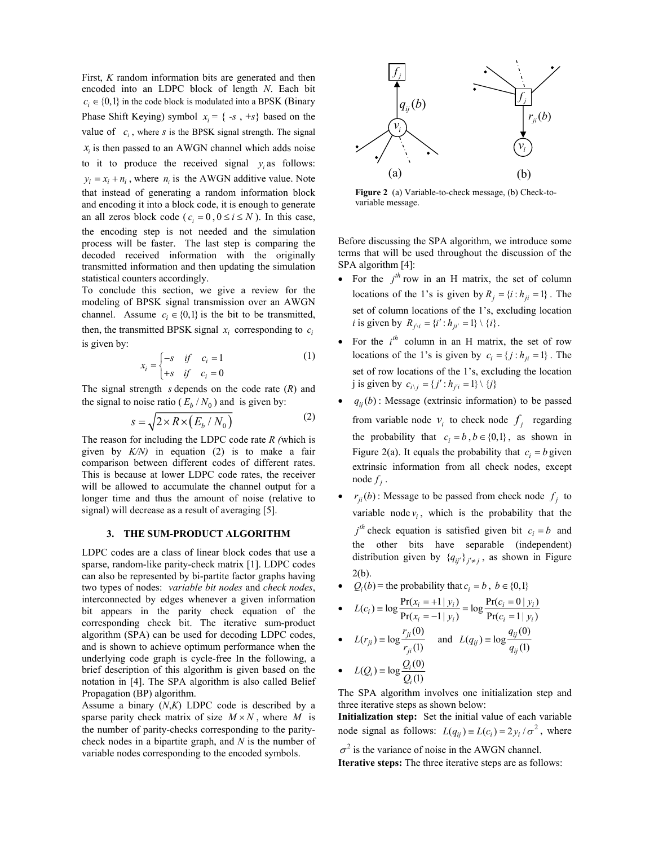First, *K* random information bits are generated and then encoded into an LDPC block of length *N*. Each bit  $c_i \in \{0,1\}$  in the code block is modulated into a BPSK (Binary Phase Shift Keying) symbol  $x_i = \{-s, +s\}$  based on the value of  $c_i$ , where *s* is the BPSK signal strength. The signal  $x_i$  is then passed to an AWGN channel which adds noise to it to produce the received signal  $y_i$  as follows:  $y_i = x_i + n_i$ , where  $n_i$  is the AWGN additive value. Note that instead of generating a random information block and encoding it into a block code, it is enough to generate an all zeros block code ( $c_i = 0, 0 \le i \le N$ ). In this case, the encoding step is not needed and the simulation process will be faster. The last step is comparing the decoded received information with the originally transmitted information and then updating the simulation statistical counters accordingly.

To conclude this section, we give a review for the modeling of BPSK signal transmission over an AWGN channel. Assume  $c_i \in \{0,1\}$  is the bit to be transmitted, then, the transmitted BPSK signal  $x_i$  corresponding to  $c_i$ is given by:

$$
x_i = \begin{cases} -s & if & c_i = 1 \\ +s & if & c_i = 0 \end{cases}
$$
 (1)

The signal strength *s* depends on the code rate (*R*) and the signal to noise ratio ( $E_b / N_0$ ) and is given by:

$$
s = \sqrt{2 \times R \times (E_b / N_0)}
$$
 (2)

The reason for including the LDPC code rate *R (*which is given by  $K/N$ ) in equation (2) is to make a fair comparison between different codes of different rates. This is because at lower LDPC code rates, the receiver will be allowed to accumulate the channel output for a longer time and thus the amount of noise (relative to signal) will decrease as a result of averaging [5].

#### **3. THE SUM-PRODUCT ALGORITHM**

LDPC codes are a class of linear block codes that use a sparse, random-like parity-check matrix [1]. LDPC codes can also be represented by bi-partite factor graphs having two types of nodes: *variable bit nodes* and *check nodes*, interconnected by edges whenever a given information bit appears in the parity check equation of the corresponding check bit. The iterative sum-product algorithm (SPA) can be used for decoding LDPC codes, and is shown to achieve optimum performance when the underlying code graph is cycle-free In the following, a brief description of this algorithm is given based on the notation in [4]. The SPA algorithm is also called Belief Propagation (BP) algorithm.

Assume a binary (*N*,*K*) LDPC code is described by a sparse parity check matrix of size  $M \times N$ , where *M* is the number of parity-checks corresponding to the paritycheck nodes in a bipartite graph, and *N* is the number of variable nodes corresponding to the encoded symbols.



**Figure 2** (a) Variable-to-check message, (b) Check-tovariable message.

Before discussing the SPA algorithm, we introduce some terms that will be used throughout the discussion of the SPA algorithm [4]:

- For the  $i^{th}$  row in an H matrix, the set of column locations of the 1's is given by  $R_i = \{i : h_{ii} = 1\}$ . The set of column locations of the 1's, excluding location *i* is given by  $R_{ i \setminus i } = \{ i' : h_{ ii'} = 1 \} \setminus \{ i \}.$
- For the  $i^{th}$  column in an H matrix, the set of row locations of the 1's is given by  $c_i = \{j : h_{ii} = 1\}$ . The set of row locations of the 1's, excluding the location *j* is given by  $c_{i \setminus j} = \{ j' : h_{j'i} = 1 \} \setminus \{ j \}$
- $q_{ii}(b)$ : Message (extrinsic information) to be passed from variable node  $v_i$  to check node  $f_i$  regarding the probability that  $c_i = b$ ,  $b \in \{0,1\}$ , as shown in Figure 2(a). It equals the probability that  $c_i = b$  given extrinsic information from all check nodes, except node  $f_i$ .
- $r_{ji}(b)$ : Message to be passed from check node  $f_i$  to variable node  $v_i$ , which is the probability that the  $j<sup>th</sup>$  check equation is satisfied given bit  $c_i = b$  and the other bits have separable (independent) distribution given by  ${q_{ij'}}_{j' \neq j}$ , as shown in Figure 2(b).
- $Q_i(b)$  = the probability that  $c_i = b$ ,  $b \in \{0,1\}$

• 
$$
L(c_i) = \log \frac{\Pr(x_i = +1 | y_i)}{\Pr(x_i = -1 | y_i)} = \log \frac{\Pr(c_i = 0 | y_i)}{\Pr(c_i = 1 | y_i)}
$$

• 
$$
L(r_{ji}) = \log \frac{r_{ji}(0)}{r_{ji}(1)}
$$
 and  $L(q_{ij}) = \log \frac{q_{ij}(0)}{q_{ij}(1)}$ 

• 
$$
L(Q_i) = \log \frac{Q_i(0)}{Q_i(1)}
$$

The SPA algorithm involves one initialization step and three iterative steps as shown below:

**Initialization step:** Set the initial value of each variable node signal as follows:  $L(q_{ii}) = L(c_i) = 2y_i / \sigma^2$ , where  $\sigma^2$  is the variance of noise in the AWGN channel. **Iterative steps:** The three iterative steps are as follows: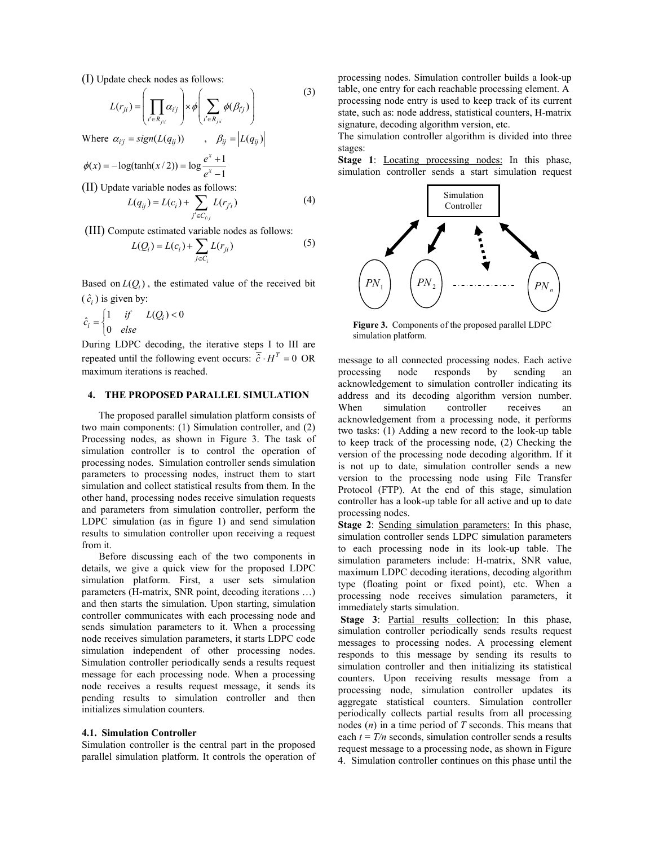(I) Update check nodes as follows:

$$
L(r_{ji}) = \left(\prod_{i' \in R_{jj}} \alpha_{i'j}\right) \times \phi\left(\sum_{i' \in R_{jj}} \phi(\beta_{i'j})\right)
$$
  
Where  $\alpha_{i'j} = sign(L(q_{ij}))$ ,  $\beta_{ij} = |L(q_{ij})|$   
 $\phi(x) = -log(tanh(x/2)) = log \frac{e^x + 1}{e^x - 1}$  (3)

(II) Update variable nodes as follows:

$$
L(q_{ij}) = L(c_i) + \sum_{j' \in C_{i,j}} L(r_{j'i})
$$
 (4)

(III) Compute estimated variable nodes as follows:

$$
L(Q_i) = L(c_i) + \sum_{j \in C_i} L(r_{ji})
$$
 (5)

Based on  $L(Q_i)$ , the estimated value of the received bit  $(\hat{c}_i)$  is given by:

$$
\hat{c}_i = \begin{cases} 1 & if & L(Q_i) < 0 \\ 0 & else \end{cases}
$$

During LDPC decoding, the iterative steps I to III are repeated until the following event occurs:  $\overline{\hat{c}} \cdot H^T = 0$  OR maximum iterations is reached.

### **4. THE PROPOSED PARALLEL SIMULATION**

The proposed parallel simulation platform consists of two main components: (1) Simulation controller, and (2) Processing nodes, as shown in Figure 3. The task of simulation controller is to control the operation of processing nodes. Simulation controller sends simulation parameters to processing nodes, instruct them to start simulation and collect statistical results from them. In the other hand, processing nodes receive simulation requests and parameters from simulation controller, perform the LDPC simulation (as in figure 1) and send simulation results to simulation controller upon receiving a request from it.

Before discussing each of the two components in details, we give a quick view for the proposed LDPC simulation platform. First, a user sets simulation parameters (H-matrix, SNR point, decoding iterations …) and then starts the simulation. Upon starting, simulation controller communicates with each processing node and sends simulation parameters to it. When a processing node receives simulation parameters, it starts LDPC code simulation independent of other processing nodes. Simulation controller periodically sends a results request message for each processing node. When a processing node receives a results request message, it sends its pending results to simulation controller and then initializes simulation counters.

#### **4.1. Simulation Controller**

Simulation controller is the central part in the proposed parallel simulation platform. It controls the operation of processing nodes. Simulation controller builds a look-up table, one entry for each reachable processing element. A processing node entry is used to keep track of its current state, such as: node address, statistical counters, H-matrix signature, decoding algorithm version, etc.

The simulation controller algorithm is divided into three stages:

**Stage 1**: Locating processing nodes: In this phase, simulation controller sends a start simulation request



**Figure 3.** Components of the proposed parallel LDPC simulation platform.

message to all connected processing nodes. Each active processing node responds by sending an acknowledgement to simulation controller indicating its address and its decoding algorithm version number. When simulation controller receives an acknowledgement from a processing node, it performs two tasks: (1) Adding a new record to the look-up table to keep track of the processing node, (2) Checking the version of the processing node decoding algorithm. If it is not up to date, simulation controller sends a new version to the processing node using File Transfer Protocol (FTP). At the end of this stage, simulation controller has a look-up table for all active and up to date processing nodes.

**Stage 2**: Sending simulation parameters: In this phase, simulation controller sends LDPC simulation parameters to each processing node in its look-up table. The simulation parameters include: H-matrix, SNR value, maximum LDPC decoding iterations, decoding algorithm type (floating point or fixed point), etc. When a processing node receives simulation parameters, it immediately starts simulation.

**Stage 3**: Partial results collection: In this phase, simulation controller periodically sends results request messages to processing nodes. A processing element responds to this message by sending its results to simulation controller and then initializing its statistical counters. Upon receiving results message from a processing node, simulation controller updates its aggregate statistical counters. Simulation controller periodically collects partial results from all processing nodes (*n*) in a time period of *T* seconds. This means that each  $t = T/n$  seconds, simulation controller sends a results request message to a processing node, as shown in Figure 4. Simulation controller continues on this phase until the